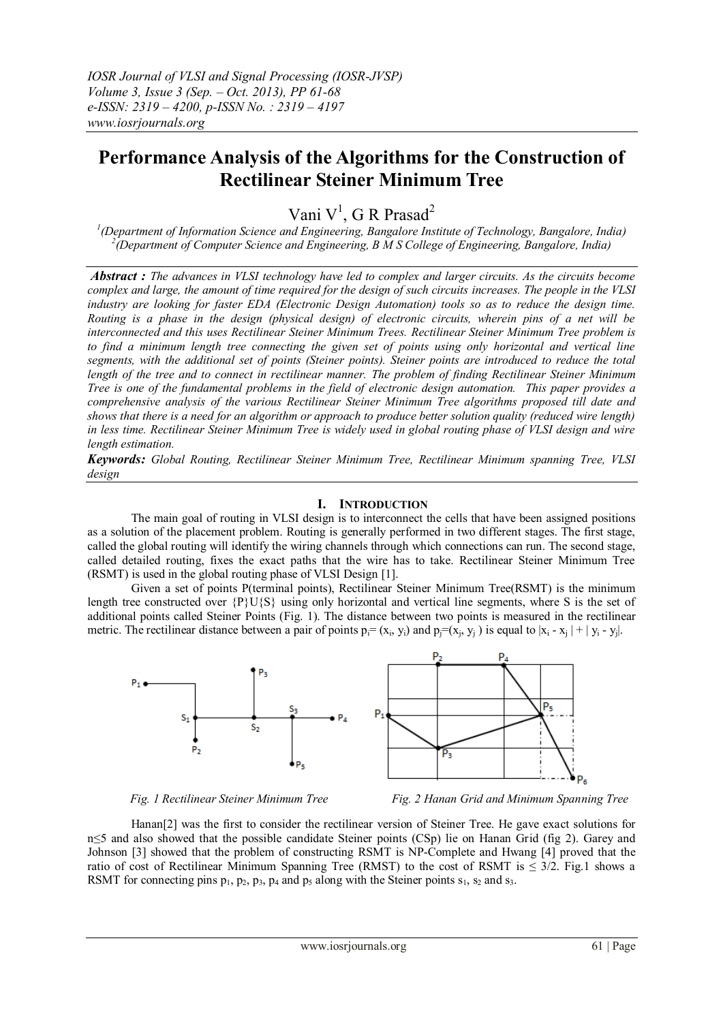# **Performance Analysis of the Algorithms for the Construction of Rectilinear Steiner Minimum Tree**

Vani V<sup>1</sup>, G R Prasad<sup>2</sup>

*1 (Department of Information Science and Engineering, Bangalore Institute of Technology, Bangalore, India) 2 (Department of Computer Science and Engineering, B M S College of Engineering, Bangalore, India)*

*Abstract : The advances in VLSI technology have led to complex and larger circuits. As the circuits become complex and large, the amount of time required for the design of such circuits increases. The people in the VLSI industry are looking for faster EDA (Electronic Design Automation) tools so as to reduce the design time. Routing is a phase in the design (physical design) of electronic circuits, wherein pins of a net will be interconnected and this uses Rectilinear Steiner Minimum Trees. Rectilinear Steiner Minimum Tree problem is to find a minimum length tree connecting the given set of points using only horizontal and vertical line segments, with the additional set of points (Steiner points). Steiner points are introduced to reduce the total length of the tree and to connect in rectilinear manner. The problem of finding Rectilinear Steiner Minimum Tree is one of the fundamental problems in the field of electronic design automation. This paper provides a comprehensive analysis of the various Rectilinear Steiner Minimum Tree algorithms proposed till date and shows that there is a need for an algorithm or approach to produce better solution quality (reduced wire length) in less time. Rectilinear Steiner Minimum Tree is widely used in global routing phase of VLSI design and wire length estimation.*

*Keywords: Global Routing, Rectilinear Steiner Minimum Tree, Rectilinear Minimum spanning Tree, VLSI design*

## **I. INTRODUCTION**

The main goal of routing in VLSI design is to interconnect the cells that have been assigned positions as a solution of the placement problem. Routing is generally performed in two different stages. The first stage, called the global routing will identify the wiring channels through which connections can run. The second stage, called detailed routing, fixes the exact paths that the wire has to take. Rectilinear Steiner Minimum Tree (RSMT) is used in the global routing phase of VLSI Design [1].

Given a set of points P(terminal points), Rectilinear Steiner Minimum Tree(RSMT) is the minimum length tree constructed over {P}U{S} using only horizontal and vertical line segments, where S is the set of additional points called Steiner Points (Fig. 1). The distance between two points is measured in the rectilinear metric. The rectilinear distance between a pair of points  $p_i = (x_i, y_i)$  and  $p_j = (x_j, y_j)$  is equal to  $|x_i - x_j| + |y_i - y_j|$ .



*Fig. 1 Rectilinear Steiner Minimum Tree Fig. 2 Hanan Grid and Minimum Spanning Tree*

Hanan[2] was the first to consider the rectilinear version of Steiner Tree. He gave exact solutions for n≤5 and also showed that the possible candidate Steiner points (CSp) lie on Hanan Grid (fig 2). Garey and Johnson [3] showed that the problem of constructing RSMT is NP-Complete and Hwang [4] proved that the ratio of cost of Rectilinear Minimum Spanning Tree (RMST) to the cost of RSMT is  $\leq$  3/2. Fig.1 shows a RSMT for connecting pins  $p_1$ ,  $p_2$ ,  $p_3$ ,  $p_4$  and  $p_5$  along with the Steiner points  $s_1$ ,  $s_2$  and  $s_3$ .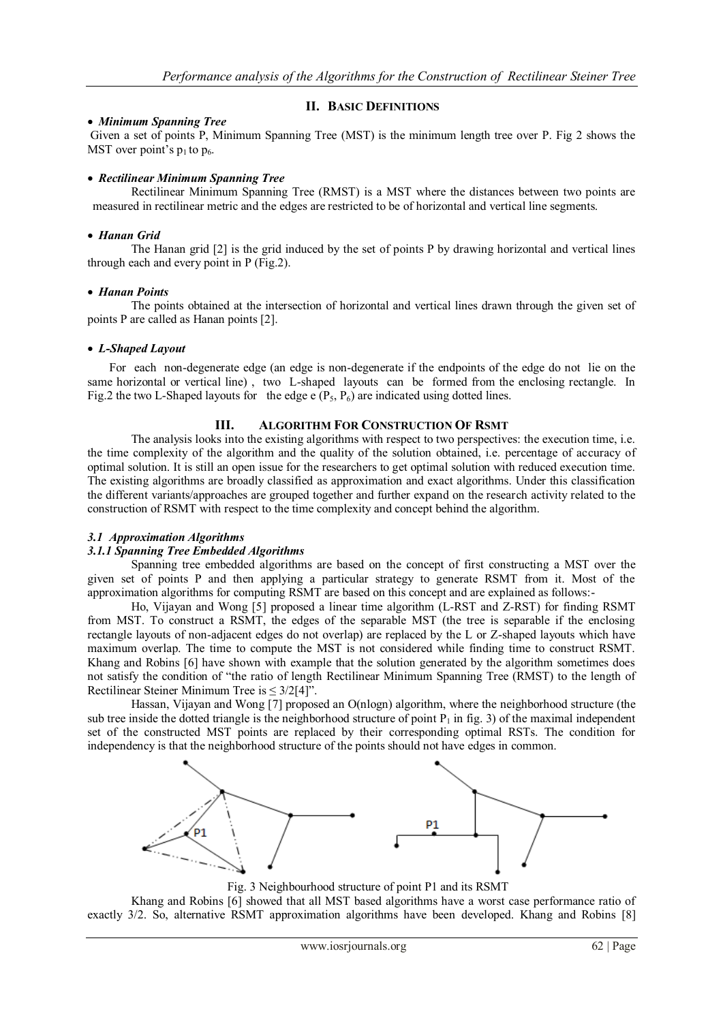# **II. BASIC DEFINITIONS**

## *Minimum Spanning Tree*

Given a set of points P, Minimum Spanning Tree (MST) is the minimum length tree over P. Fig 2 shows the MST over point's  $p_1$  to  $p_6$ .

#### *Rectilinear Minimum Spanning Tree*

Rectilinear Minimum Spanning Tree (RMST) is a MST where the distances between two points are measured in rectilinear metric and the edges are restricted to be of horizontal and vertical line segments.

## *Hanan Grid*

The Hanan grid [2] is the grid induced by the set of points P by drawing horizontal and vertical lines through each and every point in P (Fig.2).

#### *Hanan Points*

The points obtained at the intersection of horizontal and vertical lines drawn through the given set of points P are called as Hanan points [2].

## *L-Shaped Layout*

For each non-degenerate edge (an edge is non-degenerate if the endpoints of the edge do not lie on the same horizontal or vertical line) , two L-shaped layouts can be formed from the enclosing rectangle. In Fig.2 the two L-Shaped layouts for the edge e  $(P_5, P_6)$  are indicated using dotted lines.

# **III. ALGORITHM FOR CONSTRUCTION OF RSMT**

The analysis looks into the existing algorithms with respect to two perspectives: the execution time, i.e. the time complexity of the algorithm and the quality of the solution obtained, i.e. percentage of accuracy of optimal solution. It is still an open issue for the researchers to get optimal solution with reduced execution time. The existing algorithms are broadly classified as approximation and exact algorithms. Under this classification the different variants/approaches are grouped together and further expand on the research activity related to the construction of RSMT with respect to the time complexity and concept behind the algorithm.

# *3.1 Approximation Algorithms*

# *3.1.1 Spanning Tree Embedded Algorithms*

Spanning tree embedded algorithms are based on the concept of first constructing a MST over the given set of points P and then applying a particular strategy to generate RSMT from it. Most of the approximation algorithms for computing RSMT are based on this concept and are explained as follows:-

Ho, Vijayan and Wong [5] proposed a linear time algorithm (L-RST and Z-RST) for finding RSMT from MST. To construct a RSMT, the edges of the separable MST (the tree is separable if the enclosing rectangle layouts of non-adjacent edges do not overlap) are replaced by the L or Z-shaped layouts which have maximum overlap. The time to compute the MST is not considered while finding time to construct RSMT. Khang and Robins [6] have shown with example that the solution generated by the algorithm sometimes does not satisfy the condition of "the ratio of length Rectilinear Minimum Spanning Tree (RMST) to the length of Rectilinear Steiner Minimum Tree is  $\leq 3/2[4]$ ".

Hassan, Vijayan and Wong [7] proposed an O(nlogn) algorithm, where the neighborhood structure (the sub tree inside the dotted triangle is the neighborhood structure of point  $P_1$  in fig. 3) of the maximal independent set of the constructed MST points are replaced by their corresponding optimal RSTs. The condition for independency is that the neighborhood structure of the points should not have edges in common.



Fig. 3 Neighbourhood structure of point P1 and its RSMT

Khang and Robins [6] showed that all MST based algorithms have a worst case performance ratio of exactly 3/2. So, alternative RSMT approximation algorithms have been developed. Khang and Robins [8]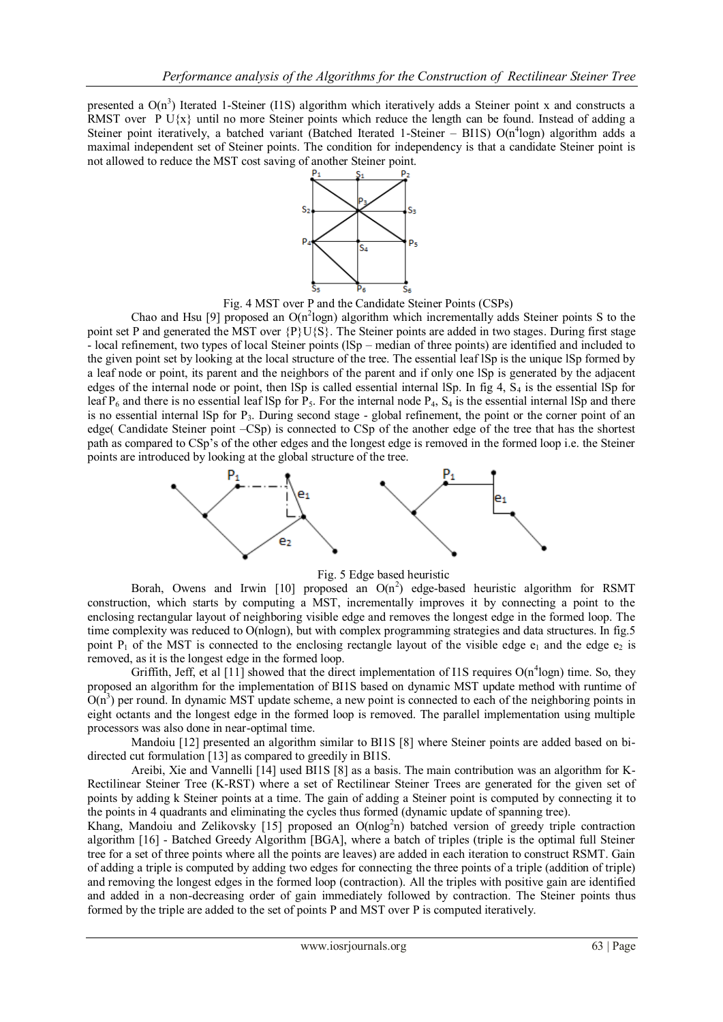presented a  $O(n^3)$  Iterated 1-Steiner (I1S) algorithm which iteratively adds a Steiner point x and constructs a RMST over P U $\{x\}$  until no more Steiner points which reduce the length can be found. Instead of adding a Steiner point iteratively, a batched variant (Batched Iterated 1-Steiner - BI1S) O(n<sup>4</sup>logn) algorithm adds a maximal independent set of Steiner points. The condition for independency is that a candidate Steiner point is not allowed to reduce the MST cost saving of another Steiner point.



Fig. 4 MST over P and the Candidate Steiner Points (CSPs)

Chao and Hsu [9] proposed an  $O(n^2 \log n)$  algorithm which incrementally adds Steiner points S to the point set P and generated the MST over  ${P\big\}U{S}$ . The Steiner points are added in two stages. During first stage - local refinement, two types of local Steiner points (lSp – median of three points) are identified and included to the given point set by looking at the local structure of the tree. The essential leaf lSp is the unique lSp formed by a leaf node or point, its parent and the neighbors of the parent and if only one lSp is generated by the adjacent edges of the internal node or point, then  $ISp$  is called essential internal  $ISp$ . In fig 4,  $S<sub>4</sub>$  is the essential  $ISp$  for leaf  $P_6$  and there is no essential leaf lSp for  $P_5$ . For the internal node  $P_4$ ,  $S_4$  is the essential internal lSp and there is no essential internal ISp for P<sub>3</sub>. During second stage - global refinement, the point or the corner point of an edge( Candidate Steiner point –CSp) is connected to CSp of the another edge of the tree that has the shortest path as compared to CSp's of the other edges and the longest edge is removed in the formed loop i.e. the Steiner points are introduced by looking at the global structure of the tree.



Fig. 5 Edge based heuristic

Borah, Owens and Irwin [10] proposed an  $O(n^2)$  edge-based heuristic algorithm for RSMT construction, which starts by computing a MST, incrementally improves it by connecting a point to the enclosing rectangular layout of neighboring visible edge and removes the longest edge in the formed loop. The time complexity was reduced to O(nlogn), but with complex programming strategies and data structures. In fig.5 point  $P_1$  of the MST is connected to the enclosing rectangle layout of the visible edge  $e_1$  and the edge  $e_2$  is removed, as it is the longest edge in the formed loop.

Griffith, Jeff, et al [11] showed that the direct implementation of I1S requires  $O(n^4 log n)$  time. So, they proposed an algorithm for the implementation of BI1S based on dynamic MST update method with runtime of  $O(n^3)$  per round. In dynamic MST update scheme, a new point is connected to each of the neighboring points in eight octants and the longest edge in the formed loop is removed. The parallel implementation using multiple processors was also done in near-optimal time.

Mandoiu [12] presented an algorithm similar to BI1S [8] where Steiner points are added based on bidirected cut formulation [13] as compared to greedily in BI1S.

Areibi, Xie and Vannelli [14] used BI1S [8] as a basis. The main contribution was an algorithm for K-Rectilinear Steiner Tree (K-RST) where a set of Rectilinear Steiner Trees are generated for the given set of points by adding k Steiner points at a time. The gain of adding a Steiner point is computed by connecting it to the points in 4 quadrants and eliminating the cycles thus formed (dynamic update of spanning tree).

Khang, Mandoiu and Zelikovsky [15] proposed an O(nlog<sup>2</sup>n) batched version of greedy triple contraction algorithm [16] - Batched Greedy Algorithm [BGA], where a batch of triples (triple is the optimal full Steiner tree for a set of three points where all the points are leaves) are added in each iteration to construct RSMT. Gain of adding a triple is computed by adding two edges for connecting the three points of a triple (addition of triple) and removing the longest edges in the formed loop (contraction). All the triples with positive gain are identified and added in a non-decreasing order of gain immediately followed by contraction. The Steiner points thus formed by the triple are added to the set of points P and MST over P is computed iteratively.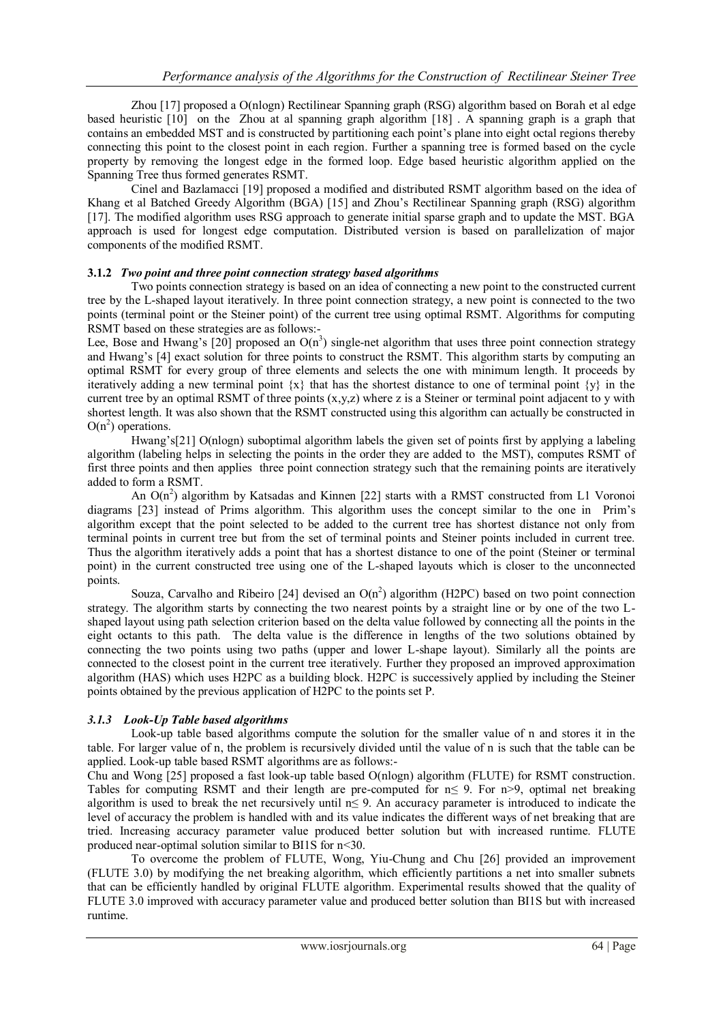Zhou [17] proposed a O(nlogn) Rectilinear Spanning graph (RSG) algorithm based on Borah et al edge based heuristic [10] on the Zhou at al spanning graph algorithm [18] . A spanning graph is a graph that contains an embedded MST and is constructed by partitioning each point's plane into eight octal regions thereby connecting this point to the closest point in each region. Further a spanning tree is formed based on the cycle property by removing the longest edge in the formed loop. Edge based heuristic algorithm applied on the Spanning Tree thus formed generates RSMT.

Cinel and Bazlamacci [19] proposed a modified and distributed RSMT algorithm based on the idea of Khang et al Batched Greedy Algorithm (BGA) [15] and Zhou's Rectilinear Spanning graph (RSG) algorithm [17]. The modified algorithm uses RSG approach to generate initial sparse graph and to update the MST. BGA approach is used for longest edge computation. Distributed version is based on parallelization of major components of the modified RSMT.

## **3.1.2** *Two point and three point connection strategy based algorithms*

Two points connection strategy is based on an idea of connecting a new point to the constructed current tree by the L-shaped layout iteratively. In three point connection strategy, a new point is connected to the two points (terminal point or the Steiner point) of the current tree using optimal RSMT. Algorithms for computing RSMT based on these strategies are as follows:-

Lee, Bose and Hwang's [20] proposed an  $O(n^3)$  single-net algorithm that uses three point connection strategy and Hwang's [4] exact solution for three points to construct the RSMT. This algorithm starts by computing an optimal RSMT for every group of three elements and selects the one with minimum length. It proceeds by iteratively adding a new terminal point  $\{x\}$  that has the shortest distance to one of terminal point  $\{y\}$  in the current tree by an optimal RSMT of three points  $(x,y,z)$  where z is a Steiner or terminal point adjacent to y with shortest length. It was also shown that the RSMT constructed using this algorithm can actually be constructed in  $O(n^2)$  operations.

Hwang's[21] O(nlogn) suboptimal algorithm labels the given set of points first by applying a labeling algorithm (labeling helps in selecting the points in the order they are added to the MST), computes RSMT of first three points and then applies three point connection strategy such that the remaining points are iteratively added to form a RSMT.

An  $O(n^2)$  algorithm by Katsadas and Kinnen [22] starts with a RMST constructed from L1 Voronoi diagrams [23] instead of Prims algorithm. This algorithm uses the concept similar to the one in Prim's algorithm except that the point selected to be added to the current tree has shortest distance not only from terminal points in current tree but from the set of terminal points and Steiner points included in current tree. Thus the algorithm iteratively adds a point that has a shortest distance to one of the point (Steiner or terminal point) in the current constructed tree using one of the L-shaped layouts which is closer to the unconnected points.

Souza, Carvalho and Ribeiro [24] devised an  $O(n^2)$  algorithm (H2PC) based on two point connection strategy. The algorithm starts by connecting the two nearest points by a straight line or by one of the two Lshaped layout using path selection criterion based on the delta value followed by connecting all the points in the eight octants to this path. The delta value is the difference in lengths of the two solutions obtained by connecting the two points using two paths (upper and lower L-shape layout). Similarly all the points are connected to the closest point in the current tree iteratively. Further they proposed an improved approximation algorithm (HAS) which uses H2PC as a building block. H2PC is successively applied by including the Steiner points obtained by the previous application of H2PC to the points set P.

# *3.1.3 Look-Up Table based algorithms*

Look-up table based algorithms compute the solution for the smaller value of n and stores it in the table. For larger value of n, the problem is recursively divided until the value of n is such that the table can be applied. Look-up table based RSMT algorithms are as follows:-

Chu and Wong [25] proposed a fast look-up table based O(nlogn) algorithm (FLUTE) for RSMT construction. Tables for computing RSMT and their length are pre-computed for  $n \le 9$ . For n>9, optimal net breaking algorithm is used to break the net recursively until n≤ 9. An accuracy parameter is introduced to indicate the level of accuracy the problem is handled with and its value indicates the different ways of net breaking that are tried. Increasing accuracy parameter value produced better solution but with increased runtime. FLUTE produced near-optimal solution similar to BI1S for n<30.

To overcome the problem of FLUTE, Wong, Yiu-Chung and Chu [26] provided an improvement (FLUTE 3.0) by modifying the net breaking algorithm, which efficiently partitions a net into smaller subnets that can be efficiently handled by original FLUTE algorithm. Experimental results showed that the quality of FLUTE 3.0 improved with accuracy parameter value and produced better solution than BI1S but with increased runtime.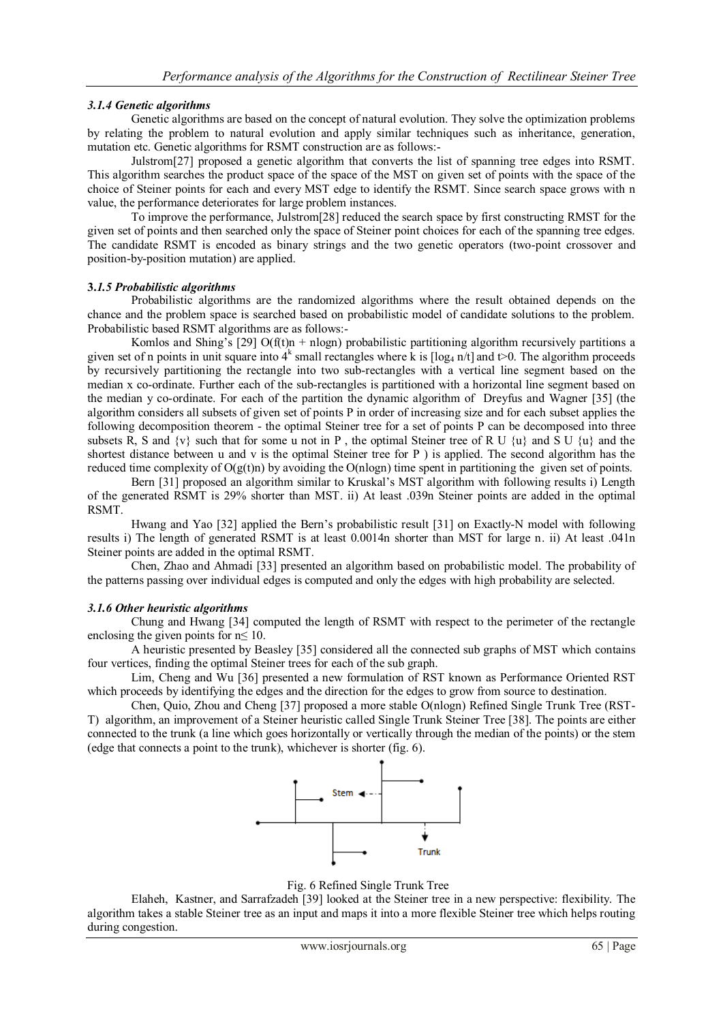# *3.1.4 Genetic algorithms*

Genetic algorithms are based on the concept of natural evolution. They solve the optimization problems by relating the problem to natural evolution and apply similar techniques such as inheritance, generation, mutation etc. Genetic algorithms for RSMT construction are as follows:-

Julstrom[27] proposed a genetic algorithm that converts the list of spanning tree edges into RSMT. This algorithm searches the product space of the space of the MST on given set of points with the space of the choice of Steiner points for each and every MST edge to identify the RSMT. Since search space grows with n value, the performance deteriorates for large problem instances.

To improve the performance, Julstrom[28] reduced the search space by first constructing RMST for the given set of points and then searched only the space of Steiner point choices for each of the spanning tree edges. The candidate RSMT is encoded as binary strings and the two genetic operators (two-point crossover and position-by-position mutation) are applied.

# **3.***1.5 Probabilistic algorithms*

Probabilistic algorithms are the randomized algorithms where the result obtained depends on the chance and the problem space is searched based on probabilistic model of candidate solutions to the problem. Probabilistic based RSMT algorithms are as follows:-

Komlos and Shing's [29]  $O(f(t)n + nlogn)$  probabilistic partitioning algorithm recursively partitions a given set of n points in unit square into  $4^k$  small rectangles where k is  $[\log_4 n/t]$  and t>0. The algorithm proceeds by recursively partitioning the rectangle into two sub-rectangles with a vertical line segment based on the median x co-ordinate. Further each of the sub-rectangles is partitioned with a horizontal line segment based on the median y co-ordinate. For each of the partition the dynamic algorithm of Dreyfus and Wagner [35] (the algorithm considers all subsets of given set of points P in order of increasing size and for each subset applies the following decomposition theorem - the optimal Steiner tree for a set of points P can be decomposed into three subsets R, S and  $\{v\}$  such that for some u not in P, the optimal Steiner tree of R U  $\{u\}$  and S U  $\{u\}$  and the shortest distance between u and v is the optimal Steiner tree for P ) is applied. The second algorithm has the reduced time complexity of  $O(g(t)n)$  by avoiding the  $O(n \log n)$  time spent in partitioning the given set of points.

Bern [31] proposed an algorithm similar to Kruskal's MST algorithm with following results i) Length of the generated RSMT is 29% shorter than MST. ii) At least .039n Steiner points are added in the optimal RSMT.

Hwang and Yao [32] applied the Bern's probabilistic result [31] on Exactly-N model with following results i) The length of generated RSMT is at least 0.0014n shorter than MST for large n. ii) At least .041n Steiner points are added in the optimal RSMT.

Chen, Zhao and Ahmadi [33] presented an algorithm based on probabilistic model. The probability of the patterns passing over individual edges is computed and only the edges with high probability are selected.

# *3.1.6 Other heuristic algorithms*

Chung and Hwang [34] computed the length of RSMT with respect to the perimeter of the rectangle enclosing the given points for  $n \leq 10$ .

A heuristic presented by Beasley [35] considered all the connected sub graphs of MST which contains four vertices, finding the optimal Steiner trees for each of the sub graph.

Lim, Cheng and Wu [36] presented a new formulation of RST known as Performance Oriented RST which proceeds by identifying the edges and the direction for the edges to grow from source to destination.

Chen, Quio, Zhou and Cheng [37] proposed a more stable O(nlogn) Refined Single Trunk Tree (RST-T) algorithm, an improvement of a Steiner heuristic called Single Trunk Steiner Tree [38]. The points are either connected to the trunk (a line which goes horizontally or vertically through the median of the points) or the stem (edge that connects a point to the trunk), whichever is shorter (fig. 6).



Fig. 6 Refined Single Trunk Tree

Elaheh, Kastner, and Sarrafzadeh [39] looked at the Steiner tree in a new perspective: flexibility. The algorithm takes a stable Steiner tree as an input and maps it into a more flexible Steiner tree which helps routing during congestion.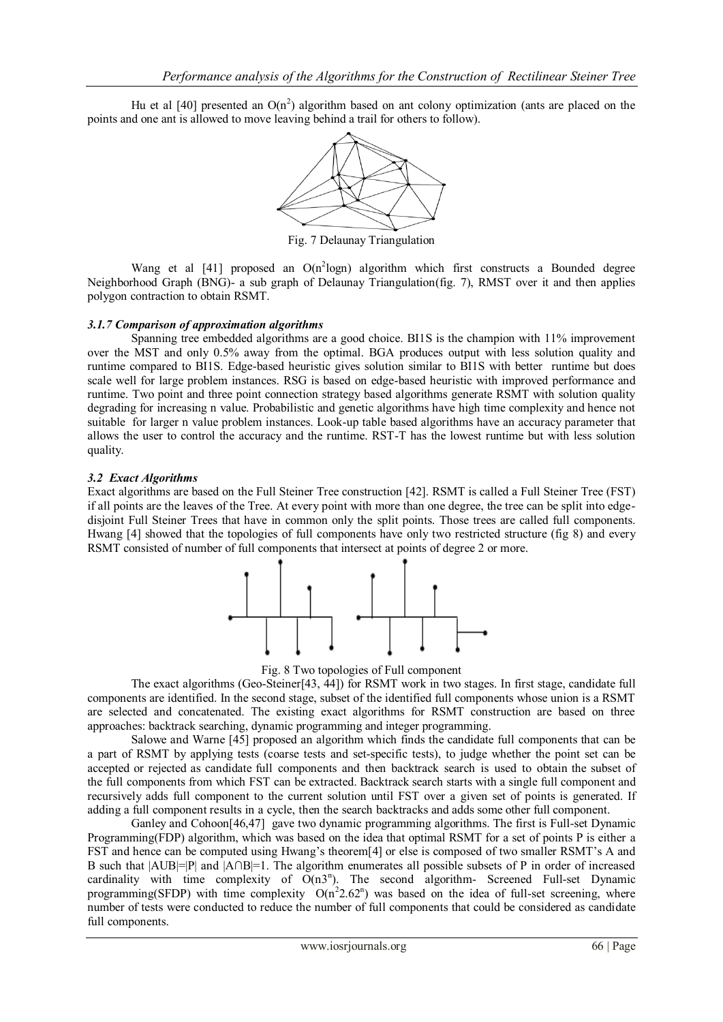Hu et al [40] presented an  $O(n^2)$  algorithm based on ant colony optimization (ants are placed on the points and one ant is allowed to move leaving behind a trail for others to follow).



Fig. 7 Delaunay Triangulation

Wang et al  $[41]$  proposed an  $O(n^2 \log n)$  algorithm which first constructs a Bounded degree Neighborhood Graph (BNG)- a sub graph of Delaunay Triangulation(fig. 7), RMST over it and then applies polygon contraction to obtain RSMT.

#### *3.1.7 Comparison of approximation algorithms*

Spanning tree embedded algorithms are a good choice. BI1S is the champion with 11% improvement over the MST and only 0.5% away from the optimal. BGA produces output with less solution quality and runtime compared to BI1S. Edge-based heuristic gives solution similar to BI1S with better runtime but does scale well for large problem instances. RSG is based on edge-based heuristic with improved performance and runtime. Two point and three point connection strategy based algorithms generate RSMT with solution quality degrading for increasing n value. Probabilistic and genetic algorithms have high time complexity and hence not suitable for larger n value problem instances. Look-up table based algorithms have an accuracy parameter that allows the user to control the accuracy and the runtime. RST-T has the lowest runtime but with less solution quality.

## *3.2 Exact Algorithms*

Exact algorithms are based on the Full Steiner Tree construction [42]. RSMT is called a Full Steiner Tree (FST) if all points are the leaves of the Tree. At every point with more than one degree, the tree can be split into edgedisjoint Full Steiner Trees that have in common only the split points. Those trees are called full components. Hwang [4] showed that the topologies of full components have only two restricted structure (fig 8) and every RSMT consisted of number of full components that intersect at points of degree 2 or more.



Fig. 8 Two topologies of Full component

The exact algorithms (Geo-Steiner[43, 44]) for RSMT work in two stages. In first stage, candidate full components are identified. In the second stage, subset of the identified full components whose union is a RSMT are selected and concatenated. The existing exact algorithms for RSMT construction are based on three approaches: backtrack searching, dynamic programming and integer programming.

Salowe and Warne [45] proposed an algorithm which finds the candidate full components that can be a part of RSMT by applying tests (coarse tests and set-specific tests), to judge whether the point set can be accepted or rejected as candidate full components and then backtrack search is used to obtain the subset of the full components from which FST can be extracted. Backtrack search starts with a single full component and recursively adds full component to the current solution until FST over a given set of points is generated. If adding a full component results in a cycle, then the search backtracks and adds some other full component.

Ganley and Cohoon[46,47] gave two dynamic programming algorithms. The first is Full-set Dynamic Programming(FDP) algorithm, which was based on the idea that optimal RSMT for a set of points P is either a FST and hence can be computed using Hwang's theorem[4] or else is composed of two smaller RSMT's A and B such that |AUB|=|P| and |A∩B|=1. The algorithm enumerates all possible subsets of P in order of increased cardinality with time complexity of  $O(n3^n)$ . The second algorithm- Screened Full-set Dynamic programming(SFDP) with time complexity  $O(n^2 2.62^n)$  was based on the idea of full-set screening, where number of tests were conducted to reduce the number of full components that could be considered as candidate full components.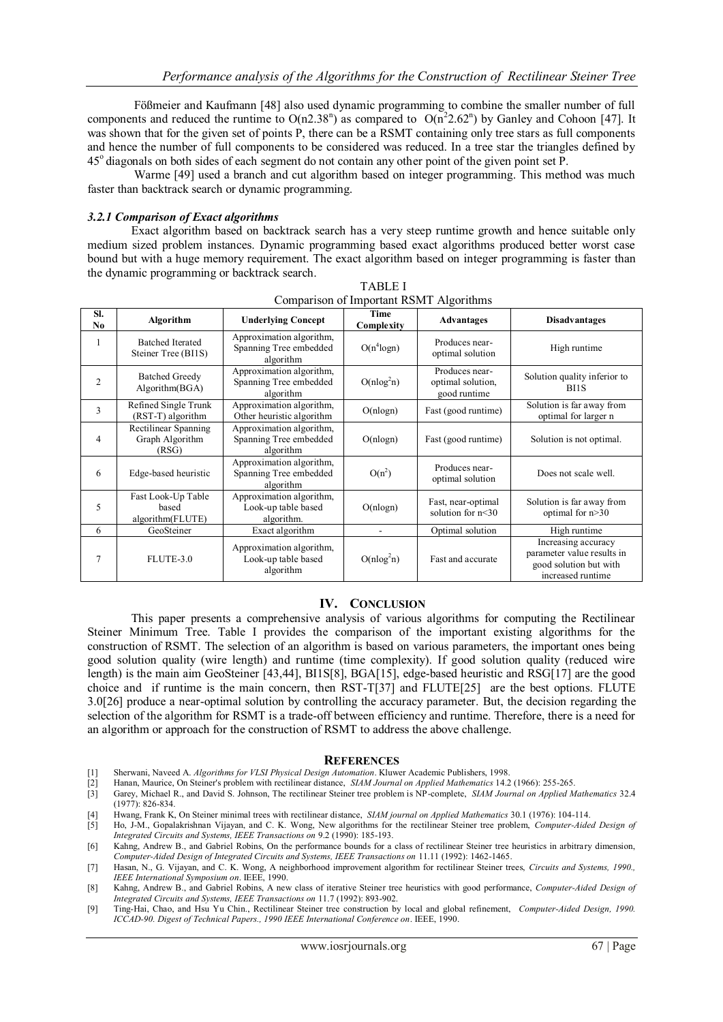Fößmeier and Kaufmann [48] also used dynamic programming to combine the smaller number of full components and reduced the runtime to  $O(n2.38<sup>n</sup>)$  as compared to  $O(n<sup>2</sup>2.62<sup>n</sup>)$  by Ganley and Cohoon [47]. It was shown that for the given set of points P, there can be a RSMT containing only tree stars as full components and hence the number of full components to be considered was reduced. In a tree star the triangles defined by 45<sup>o</sup> diagonals on both sides of each segment do not contain any other point of the given point set P.

Warme [49] used a branch and cut algorithm based on integer programming. This method was much faster than backtrack search or dynamic programming.

#### *3.2.1 Comparison of Exact algorithms*

Exact algorithm based on backtrack search has a very steep runtime growth and hence suitable only medium sized problem instances. Dynamic programming based exact algorithms produced better worst case bound but with a huge memory requirement. The exact algorithm based on integer programming is faster than the dynamic programming or backtrack search.

| Comparison of important RSM I Algorithms |                                                  |                                                                 |                    |                                                     |                                                                                                  |
|------------------------------------------|--------------------------------------------------|-----------------------------------------------------------------|--------------------|-----------------------------------------------------|--------------------------------------------------------------------------------------------------|
| SI.<br>No                                | Algorithm                                        | <b>Underlying Concept</b>                                       | Time<br>Complexity | <b>Advantages</b>                                   | <b>Disadvantages</b>                                                                             |
|                                          | <b>Batched Iterated</b><br>Steiner Tree (BI1S)   | Approximation algorithm,<br>Spanning Tree embedded<br>algorithm | $O(n^4 \log n)$    | Produces near-<br>optimal solution                  | High runtime                                                                                     |
| $\overline{c}$                           | <b>Batched Greedy</b><br>Algorithm(BGA)          | Approximation algorithm,<br>Spanning Tree embedded<br>algorithm | $O(nlog^2 n)$      | Produces near-<br>optimal solution,<br>good runtime | Solution quality inferior to<br>B <sub>I1</sub> S                                                |
| 3                                        | Refined Single Trunk<br>(RST-T) algorithm        | Approximation algorithm,<br>Other heuristic algorithm           | O(nlogn)           | Fast (good runtime)                                 | Solution is far away from<br>optimal for larger n                                                |
| 4                                        | Rectilinear Spanning<br>Graph Algorithm<br>(RSG) | Approximation algorithm,<br>Spanning Tree embedded<br>algorithm | O(nlogn)           | Fast (good runtime)                                 | Solution is not optimal.                                                                         |
| 6                                        | Edge-based heuristic                             | Approximation algorithm,<br>Spanning Tree embedded<br>algorithm | $O(n^2)$           | Produces near-<br>optimal solution                  | Does not scale well.                                                                             |
| 5                                        | Fast Look-Up Table<br>based<br>algorithm(FLUTE)  | Approximation algorithm,<br>Look-up table based<br>algorithm.   | O(nlogn)           | Fast, near-optimal<br>solution for $n<30$           | Solution is far away from<br>optimal for $n > 30$                                                |
| 6                                        | GeoSteiner                                       | Exact algorithm                                                 |                    | Optimal solution                                    | High runtime                                                                                     |
| 7                                        | FLUTE-3.0                                        | Approximation algorithm,<br>Look-up table based<br>algorithm    | $O(nlog^2 n)$      | Fast and accurate                                   | Increasing accuracy<br>parameter value results in<br>good solution but with<br>increased runtime |

TABLE I Comparison of Important RSMT Algorithms

# **IV. CONCLUSION**

This paper presents a comprehensive analysis of various algorithms for computing the Rectilinear Steiner Minimum Tree. Table I provides the comparison of the important existing algorithms for the construction of RSMT. The selection of an algorithm is based on various parameters, the important ones being good solution quality (wire length) and runtime (time complexity). If good solution quality (reduced wire length) is the main aim GeoSteiner [43,44], BI1S[8], BGA[15], edge-based heuristic and RSG[17] are the good choice and if runtime is the main concern, then RST-T[37] and FLUTE[25] are the best options. FLUTE 3.0[26] produce a near-optimal solution by controlling the accuracy parameter. But, the decision regarding the selection of the algorithm for RSMT is a trade-off between efficiency and runtime. Therefore, there is a need for an algorithm or approach for the construction of RSMT to address the above challenge.

#### **REFERENCES**

- [1] Sherwani, Naveed A. *Algorithms for VLSI Physical Design Automation*. Kluwer Academic Publishers, 1998.
- 
- [2] Hanan, Maurice, On Steiner's problem with rectilinear distance, *SIAM Journal on Applied Mathematics* 14.2 (1966): 255-265. [3] Garey, Michael R., and David S. Johnson, The rectilinear Steiner tree problem is NP-complete, *SIAM Journal on Applied Mathematics* 32.4 (1977): 826-834.
- [4] Hwang, Frank K, On Steiner minimal trees with rectilinear distance, *SIAM journal on Applied Mathematics* 30.1 (1976): 104-114.
- [5] Ho, J-M., Gopalakrishnan Vijayan, and C. K. Wong, New algorithms for the rectilinear Steiner tree problem, *Computer-Aided Design of Integrated Circuits and Systems, IEEE Transactions on* 9.2 (1990): 185-193.
- [6] Kahng, Andrew B., and Gabriel Robins, On the performance bounds for a class of rectilinear Steiner tree heuristics in arbitrary dimension, *Computer-Aided Design of Integrated Circuits and Systems, IEEE Transactions on* 11.11 (1992): 1462-1465.
- [7] Hasan, N., G. Vijayan, and C. K. Wong, A neighborhood improvement algorithm for rectilinear Steiner trees, *Circuits and Systems, 1990., IEEE International Symposium on*. IEEE, 1990.
- [8] Kahng, Andrew B., and Gabriel Robins, A new class of iterative Steiner tree heuristics with good performance, *Computer-Aided Design of Integrated Circuits and Systems, IEEE Transactions on* 11.7 (1992): 893-902.
- [9] Ting-Hai, Chao, and Hsu Yu Chin., Rectilinear Steiner tree construction by local and global refinement, *Computer-Aided Design, 1990. ICCAD-90. Digest of Technical Papers., 1990 IEEE International Conference on*. IEEE, 1990.